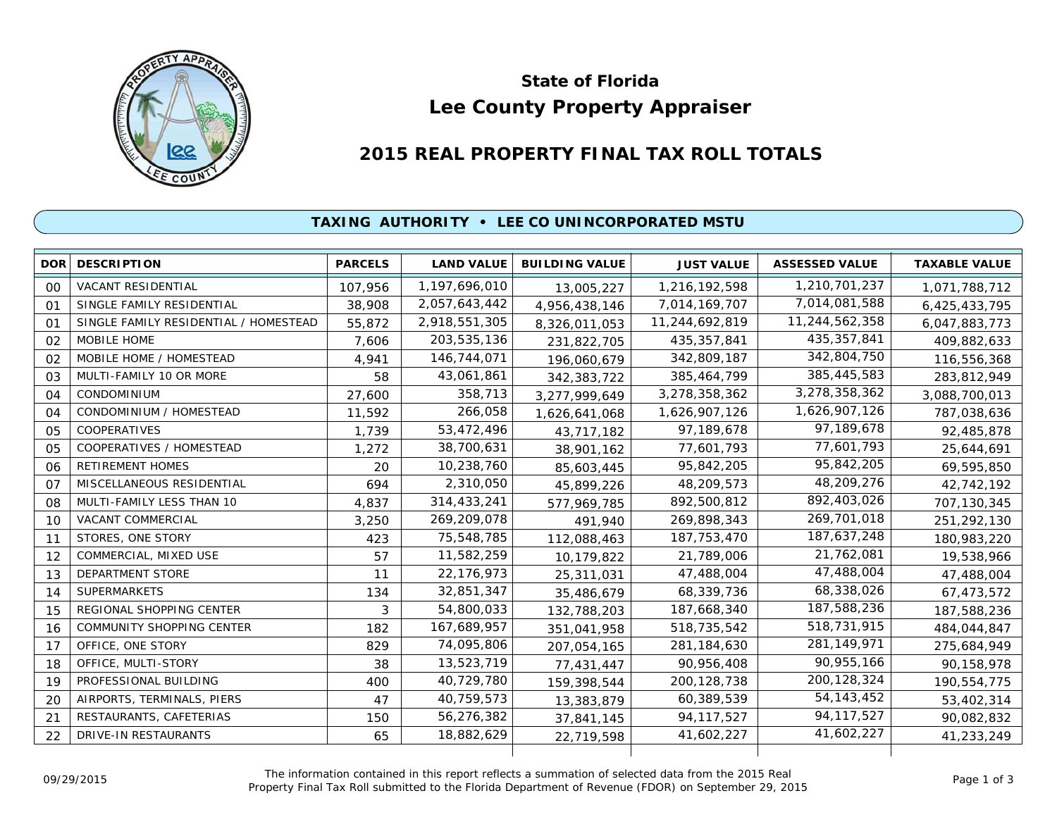

# **Lee County Property Appraiser State of Florida**

# **2015 REAL PROPERTY FINAL TAX ROLL TOTALS**

## **TAXING AUTHORITY • LEE CO UNINCORPORATED MSTU**

| <b>DOR</b> | <b>DESCRIPTION</b>                    | <b>PARCELS</b> | <b>LAND VALUE</b> | <b>BUILDING VALUE</b> | <b>JUST VALUE</b> | <b>ASSESSED VALUE</b> | <b>TAXABLE VALUE</b> |
|------------|---------------------------------------|----------------|-------------------|-----------------------|-------------------|-----------------------|----------------------|
| 00         | <b>VACANT RESIDENTIAL</b>             | 107,956        | 1,197,696,010     | 13,005,227            | 1,216,192,598     | 1,210,701,237         | 1,071,788,712        |
| 01         | SINGLE FAMILY RESIDENTIAL             | 38,908         | 2,057,643,442     | 4,956,438,146         | 7,014,169,707     | 7,014,081,588         | 6,425,433,795        |
| $\Omega$ 1 | SINGLE FAMILY RESIDENTIAL / HOMESTEAD | 55,872         | 2,918,551,305     | 8,326,011,053         | 11,244,692,819    | 11,244,562,358        | 6,047,883,773        |
| 02         | MOBILE HOME                           | 7.606          | 203,535,136       | 231,822,705           | 435, 357, 841     | 435,357,841           | 409,882,633          |
| 02         | MOBILE HOME / HOMESTEAD               | 4,941          | 146,744,071       | 196,060,679           | 342,809,187       | 342,804,750           | 116,556,368          |
| 03         | MULTI-FAMILY 10 OR MORE               | 58             | 43,061,861        | 342,383,722           | 385,464,799       | 385,445,583           | 283,812,949          |
| 04         | <b>CONDOMINIUM</b>                    | 27,600         | 358,713           | 3,277,999,649         | 3,278,358,362     | 3,278,358,362         | 3,088,700,013        |
| 04         | CONDOMINIUM / HOMESTEAD               | 11,592         | 266,058           | 1,626,641,068         | 1,626,907,126     | 1,626,907,126         | 787,038,636          |
| 05         | <b>COOPERATIVES</b>                   | 1,739          | 53,472,496        | 43,717,182            | 97,189,678        | 97,189,678            | 92,485,878           |
| 05         | COOPERATIVES / HOMESTEAD              | 1,272          | 38,700,631        | 38,901,162            | 77,601,793        | 77,601,793            | 25,644,691           |
| 06         | <b>RETIREMENT HOMES</b>               | 20             | 10,238,760        | 85,603,445            | 95,842,205        | 95,842,205            | 69,595,850           |
| 07         | MISCELLANEOUS RESIDENTIAL             | 694            | 2,310,050         | 45,899,226            | 48,209,573        | 48,209,276            | 42,742,192           |
| 08         | MULTI-FAMILY LESS THAN 10             | 4,837          | 314,433,241       | 577,969,785           | 892,500,812       | 892,403,026           | 707,130,345          |
| 10         | VACANT COMMERCIAL                     | 3,250          | 269,209,078       | 491,940               | 269.898.343       | 269,701,018           | 251,292,130          |
| 11         | STORES, ONE STORY                     | 423            | 75,548,785        | 112,088,463           | 187,753,470       | 187,637,248           | 180,983,220          |
| 12         | COMMERCIAL, MIXED USE                 | 57             | 11,582,259        | 10,179,822            | 21,789,006        | 21,762,081            | 19,538,966           |
| 13         | DEPARTMENT STORE                      | 11             | 22,176,973        | 25,311,031            | 47,488,004        | 47,488,004            | 47,488,004           |
| 14         | <b>SUPERMARKETS</b>                   | 134            | 32,851,347        | 35,486,679            | 68,339,736        | 68,338,026            | 67,473,572           |
| 15         | REGIONAL SHOPPING CENTER              | 3              | 54,800,033        | 132,788,203           | 187,668,340       | 187,588,236           | 187,588,236          |
| 16         | COMMUNITY SHOPPING CENTER             | 182            | 167,689,957       | 351,041,958           | 518,735,542       | 518,731,915           | 484,044,847          |
| 17         | OFFICE, ONE STORY                     | 829            | 74,095,806        | 207,054,165           | 281,184,630       | 281, 149, 971         | 275,684,949          |
| 18         | OFFICE, MULTI-STORY                   | 38             | 13,523,719        | 77,431,447            | 90,956,408        | 90,955,166            | 90,158,978           |
| 19         | PROFESSIONAL BUILDING                 | 400            | 40,729,780        | 159,398,544           | 200, 128, 738     | 200, 128, 324         | 190,554,775          |
| 20         | AIRPORTS, TERMINALS, PIERS            | 47             | 40,759,573        | 13,383,879            | 60,389,539        | 54, 143, 452          | 53,402,314           |
| 21         | RESTAURANTS, CAFETERIAS               | 150            | 56,276,382        | 37,841,145            | 94, 117, 527      | 94, 117, 527          | 90,082,832           |
| 22         | DRIVE-IN RESTAURANTS                  | 65             | 18,882,629        | 22,719,598            | 41,602,227        | 41,602,227            | 41,233,249           |
|            |                                       |                |                   |                       |                   |                       |                      |

The information contained in this report reflects a summation of selected data from the 2015 Real Ine information contained in this report reflects a summation of selected data from the 2015 Real<br>Property Final Tax Roll submitted to the Florida Department of Revenue (FDOR) on September 29, 2015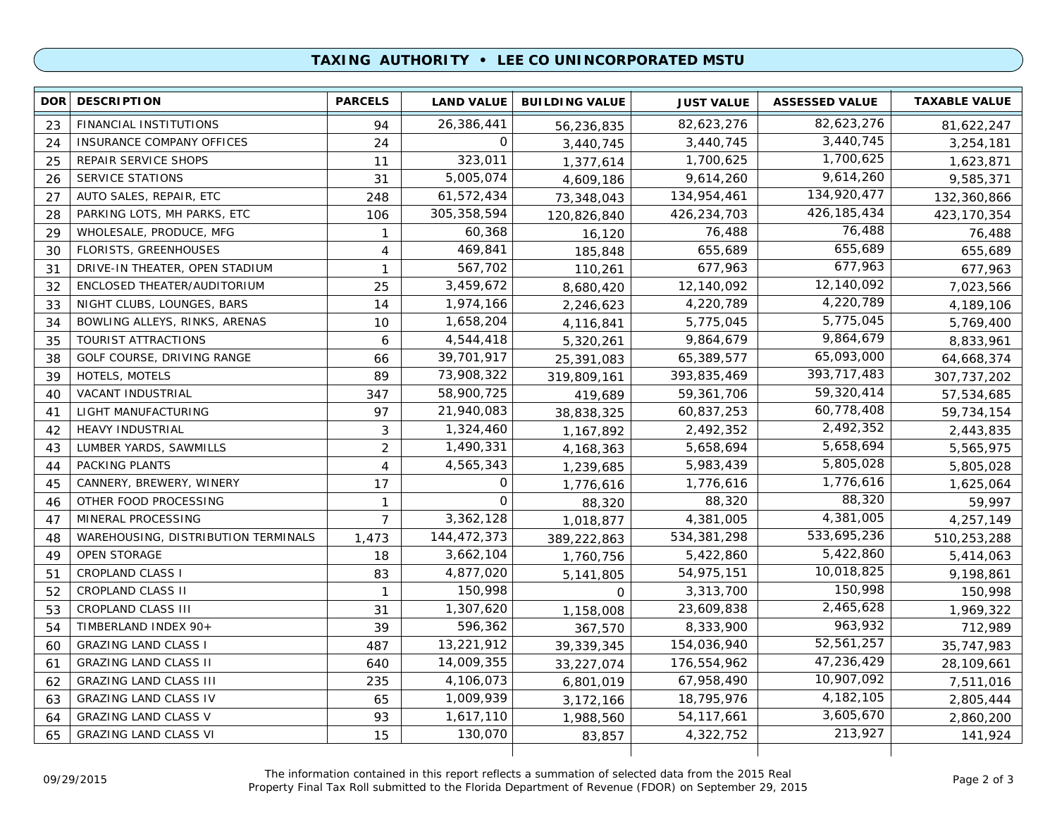### **TAXING AUTHORITY • LEE CO UNINCORPORATED MSTU**

| 82,623,276<br>26,386,441<br>FINANCIAL INSTITUTIONS<br>82,623,276<br>23<br>94<br>81,622,247<br>56,236,835<br>3,440,745<br>$\mathbf 0$<br>3,440,745<br><b>INSURANCE COMPANY OFFICES</b><br>24<br>24<br>3,440,745<br>3,254,181<br>323,011<br>1,700,625<br>1,700,625<br>25<br>REPAIR SERVICE SHOPS<br>11<br>1,377,614<br>1,623,871<br>9,614,260<br>5,005,074<br>SERVICE STATIONS<br>9,614,260<br>26<br>31<br>9,585,371<br>4,609,186<br>134,920,477<br>AUTO SALES, REPAIR, ETC<br>61,572,434<br>27<br>134,954,461<br>248<br>132,360,866<br>73,348,043<br>426, 185, 434<br>305, 358, 594<br>PARKING LOTS, MH PARKS, ETC<br>426,234,703<br>28<br>106<br>120,826,840<br>423,170,354<br>76,488<br>60,368<br>WHOLESALE, PRODUCE, MFG<br>76,488<br>29<br>76,488<br>$\mathbf{1}$<br>16,120<br>655,689<br>469,841<br>FLORISTS, GREENHOUSES<br>655,689<br>655,689<br>30<br>$\overline{4}$<br>185,848<br>677,963<br>567,702<br>677,963<br>DRIVE-IN THEATER, OPEN STADIUM<br>677,963<br>31<br>$\mathbf{1}$<br>110,261<br>12,140,092<br>3,459,672<br>12,140,092<br>32<br>ENCLOSED THEATER/AUDITORIUM<br>25<br>7,023,566<br>8,680,420<br>4,220,789<br>1,974,166<br>4,220,789<br>33<br>NIGHT CLUBS, LOUNGES, BARS<br>14<br>4,189,106<br>2,246,623<br>5,775,045<br>1,658,204<br>BOWLING ALLEYS, RINKS, ARENAS<br>5,775,045<br>34<br>10<br>4,116,841<br>5,769,400<br>9,864,679<br>4,544,418<br>TOURIST ATTRACTIONS<br>9,864,679<br>35<br>6<br>5,320,261<br>8,833,961<br>65,093,000<br>39,701,917<br>GOLF COURSE, DRIVING RANGE<br>65,389,577<br>38<br>66<br>25,391,083<br>64,668,374<br>393, 717, 483<br>73,908,322<br>HOTELS, MOTELS<br>89<br>393,835,469<br>39<br>319,809,161<br>307, 737, 202<br>59,320,414<br>58,900,725<br>VACANT INDUSTRIAL<br>347<br>59,361,706<br>40<br>57,534,685<br>419,689<br>60,778,408<br>LIGHT MANUFACTURING<br>97<br>21,940,083<br>60,837,253<br>41<br>59,734,154<br>38,838,325<br>2,492,352<br><b>HEAVY INDUSTRIAL</b><br>3<br>1,324,460<br>2,492,352<br>42<br>2,443,835<br>1,167,892<br>5,658,694<br>1,490,331<br>LUMBER YARDS, SAWMILLS<br>$\overline{2}$<br>5,658,694<br>43<br>5,565,975<br>4, 168, 363<br>5,805,028<br>4,565,343<br>PACKING PLANTS<br>5,983,439<br>44<br>$\overline{4}$<br>5,805,028<br>1,239,685<br>1,776,616<br>0<br>CANNERY, BREWERY, WINERY<br>1,776,616<br>45<br>17<br>1,625,064<br>1,776,616<br>88,320<br>$\mathbf{O}$<br>OTHER FOOD PROCESSING<br>88,320<br>59,997<br>46<br>$\mathbf{1}$<br>88,320<br>4,381,005<br>MINERAL PROCESSING<br>$\overline{7}$<br>3,362,128<br>4,381,005<br>47<br>1,018,877<br>4,257,149<br>533,695,236<br>144,472,373<br>534,381,298<br>WAREHOUSING, DISTRIBUTION TERMINALS<br>510,253,288<br>48<br>1,473<br>389,222,863<br>5,422,860<br>OPEN STORAGE<br>5,422,860<br>3,662,104<br>49<br>18<br>5,414,063<br>1,760,756<br>10,018,825<br>4,877,020<br>54,975,151<br>51<br><b>CROPLAND CLASS I</b><br>83<br>9,198,861<br>5,141,805<br>150,998<br>CROPLAND CLASS II<br>150,998<br>3,313,700<br>52<br>$\mathbf{1}$<br>150,998<br>$\Omega$<br>2,465,628<br>CROPLAND CLASS III<br>1,307,620<br>23,609,838<br>53<br>31<br>1,969,322<br>1,158,008<br>963,932<br>596,362<br>8,333,900<br>TIMBERLAND INDEX 90+<br>54<br>39<br>712,989<br>367,570<br>52,561,257<br>13,221,912<br><b>GRAZING LAND CLASS I</b><br>154,036,940<br>487<br>35,747,983<br>60<br>39,339,345<br>47,236,429<br><b>GRAZING LAND CLASS II</b><br>14,009,355<br>176,554,962<br>61<br>640<br>28,109,661<br>33,227,074<br>10,907,092<br><b>GRAZING LAND CLASS III</b><br>4,106,073<br>67,958,490<br>235<br>62<br>7,511,016<br>6,801,019<br>4, 182, 105<br><b>GRAZING LAND CLASS IV</b><br>1,009,939<br>18,795,976<br>63<br>65<br>3,172,166<br>2,805,444<br>3,605,670<br><b>GRAZING LAND CLASS V</b><br>1,617,110<br>54, 117, 661<br>93<br>64<br>1,988,560<br>2,860,200<br>213,927<br>130,070<br><b>GRAZING LAND CLASS VI</b><br>15<br>4,322,752<br>65<br>141,924<br>83,857 | <b>DOR</b> | <b>DESCRIPTION</b> | <b>PARCELS</b> | <b>LAND VALUE</b> | <b>BUILDING VALUE</b> | <b>JUST VALUE</b> | <b>ASSESSED VALUE</b> | <b>TAXABLE VALUE</b> |
|--------------------------------------------------------------------------------------------------------------------------------------------------------------------------------------------------------------------------------------------------------------------------------------------------------------------------------------------------------------------------------------------------------------------------------------------------------------------------------------------------------------------------------------------------------------------------------------------------------------------------------------------------------------------------------------------------------------------------------------------------------------------------------------------------------------------------------------------------------------------------------------------------------------------------------------------------------------------------------------------------------------------------------------------------------------------------------------------------------------------------------------------------------------------------------------------------------------------------------------------------------------------------------------------------------------------------------------------------------------------------------------------------------------------------------------------------------------------------------------------------------------------------------------------------------------------------------------------------------------------------------------------------------------------------------------------------------------------------------------------------------------------------------------------------------------------------------------------------------------------------------------------------------------------------------------------------------------------------------------------------------------------------------------------------------------------------------------------------------------------------------------------------------------------------------------------------------------------------------------------------------------------------------------------------------------------------------------------------------------------------------------------------------------------------------------------------------------------------------------------------------------------------------------------------------------------------------------------------------------------------------------------------------------------------------------------------------------------------------------------------------------------------------------------------------------------------------------------------------------------------------------------------------------------------------------------------------------------------------------------------------------------------------------------------------------------------------------------------------------------------------------------------------------------------------------------------------------------------------------------------------------------------------------------------------------------------------------------------------------------------------------------------------------------------------------------------------------------------------------------------------------------------------------------------------------------------------------------------------------------------------------------------------------------------------------------------------------------------------------------------------------------------------------------------------------------------------------------------------------------------------------------------|------------|--------------------|----------------|-------------------|-----------------------|-------------------|-----------------------|----------------------|
|                                                                                                                                                                                                                                                                                                                                                                                                                                                                                                                                                                                                                                                                                                                                                                                                                                                                                                                                                                                                                                                                                                                                                                                                                                                                                                                                                                                                                                                                                                                                                                                                                                                                                                                                                                                                                                                                                                                                                                                                                                                                                                                                                                                                                                                                                                                                                                                                                                                                                                                                                                                                                                                                                                                                                                                                                                                                                                                                                                                                                                                                                                                                                                                                                                                                                                                                                                                                                                                                                                                                                                                                                                                                                                                                                                                                                                                                                                  |            |                    |                |                   |                       |                   |                       |                      |
|                                                                                                                                                                                                                                                                                                                                                                                                                                                                                                                                                                                                                                                                                                                                                                                                                                                                                                                                                                                                                                                                                                                                                                                                                                                                                                                                                                                                                                                                                                                                                                                                                                                                                                                                                                                                                                                                                                                                                                                                                                                                                                                                                                                                                                                                                                                                                                                                                                                                                                                                                                                                                                                                                                                                                                                                                                                                                                                                                                                                                                                                                                                                                                                                                                                                                                                                                                                                                                                                                                                                                                                                                                                                                                                                                                                                                                                                                                  |            |                    |                |                   |                       |                   |                       |                      |
|                                                                                                                                                                                                                                                                                                                                                                                                                                                                                                                                                                                                                                                                                                                                                                                                                                                                                                                                                                                                                                                                                                                                                                                                                                                                                                                                                                                                                                                                                                                                                                                                                                                                                                                                                                                                                                                                                                                                                                                                                                                                                                                                                                                                                                                                                                                                                                                                                                                                                                                                                                                                                                                                                                                                                                                                                                                                                                                                                                                                                                                                                                                                                                                                                                                                                                                                                                                                                                                                                                                                                                                                                                                                                                                                                                                                                                                                                                  |            |                    |                |                   |                       |                   |                       |                      |
|                                                                                                                                                                                                                                                                                                                                                                                                                                                                                                                                                                                                                                                                                                                                                                                                                                                                                                                                                                                                                                                                                                                                                                                                                                                                                                                                                                                                                                                                                                                                                                                                                                                                                                                                                                                                                                                                                                                                                                                                                                                                                                                                                                                                                                                                                                                                                                                                                                                                                                                                                                                                                                                                                                                                                                                                                                                                                                                                                                                                                                                                                                                                                                                                                                                                                                                                                                                                                                                                                                                                                                                                                                                                                                                                                                                                                                                                                                  |            |                    |                |                   |                       |                   |                       |                      |
|                                                                                                                                                                                                                                                                                                                                                                                                                                                                                                                                                                                                                                                                                                                                                                                                                                                                                                                                                                                                                                                                                                                                                                                                                                                                                                                                                                                                                                                                                                                                                                                                                                                                                                                                                                                                                                                                                                                                                                                                                                                                                                                                                                                                                                                                                                                                                                                                                                                                                                                                                                                                                                                                                                                                                                                                                                                                                                                                                                                                                                                                                                                                                                                                                                                                                                                                                                                                                                                                                                                                                                                                                                                                                                                                                                                                                                                                                                  |            |                    |                |                   |                       |                   |                       |                      |
|                                                                                                                                                                                                                                                                                                                                                                                                                                                                                                                                                                                                                                                                                                                                                                                                                                                                                                                                                                                                                                                                                                                                                                                                                                                                                                                                                                                                                                                                                                                                                                                                                                                                                                                                                                                                                                                                                                                                                                                                                                                                                                                                                                                                                                                                                                                                                                                                                                                                                                                                                                                                                                                                                                                                                                                                                                                                                                                                                                                                                                                                                                                                                                                                                                                                                                                                                                                                                                                                                                                                                                                                                                                                                                                                                                                                                                                                                                  |            |                    |                |                   |                       |                   |                       |                      |
|                                                                                                                                                                                                                                                                                                                                                                                                                                                                                                                                                                                                                                                                                                                                                                                                                                                                                                                                                                                                                                                                                                                                                                                                                                                                                                                                                                                                                                                                                                                                                                                                                                                                                                                                                                                                                                                                                                                                                                                                                                                                                                                                                                                                                                                                                                                                                                                                                                                                                                                                                                                                                                                                                                                                                                                                                                                                                                                                                                                                                                                                                                                                                                                                                                                                                                                                                                                                                                                                                                                                                                                                                                                                                                                                                                                                                                                                                                  |            |                    |                |                   |                       |                   |                       |                      |
|                                                                                                                                                                                                                                                                                                                                                                                                                                                                                                                                                                                                                                                                                                                                                                                                                                                                                                                                                                                                                                                                                                                                                                                                                                                                                                                                                                                                                                                                                                                                                                                                                                                                                                                                                                                                                                                                                                                                                                                                                                                                                                                                                                                                                                                                                                                                                                                                                                                                                                                                                                                                                                                                                                                                                                                                                                                                                                                                                                                                                                                                                                                                                                                                                                                                                                                                                                                                                                                                                                                                                                                                                                                                                                                                                                                                                                                                                                  |            |                    |                |                   |                       |                   |                       |                      |
|                                                                                                                                                                                                                                                                                                                                                                                                                                                                                                                                                                                                                                                                                                                                                                                                                                                                                                                                                                                                                                                                                                                                                                                                                                                                                                                                                                                                                                                                                                                                                                                                                                                                                                                                                                                                                                                                                                                                                                                                                                                                                                                                                                                                                                                                                                                                                                                                                                                                                                                                                                                                                                                                                                                                                                                                                                                                                                                                                                                                                                                                                                                                                                                                                                                                                                                                                                                                                                                                                                                                                                                                                                                                                                                                                                                                                                                                                                  |            |                    |                |                   |                       |                   |                       |                      |
|                                                                                                                                                                                                                                                                                                                                                                                                                                                                                                                                                                                                                                                                                                                                                                                                                                                                                                                                                                                                                                                                                                                                                                                                                                                                                                                                                                                                                                                                                                                                                                                                                                                                                                                                                                                                                                                                                                                                                                                                                                                                                                                                                                                                                                                                                                                                                                                                                                                                                                                                                                                                                                                                                                                                                                                                                                                                                                                                                                                                                                                                                                                                                                                                                                                                                                                                                                                                                                                                                                                                                                                                                                                                                                                                                                                                                                                                                                  |            |                    |                |                   |                       |                   |                       |                      |
|                                                                                                                                                                                                                                                                                                                                                                                                                                                                                                                                                                                                                                                                                                                                                                                                                                                                                                                                                                                                                                                                                                                                                                                                                                                                                                                                                                                                                                                                                                                                                                                                                                                                                                                                                                                                                                                                                                                                                                                                                                                                                                                                                                                                                                                                                                                                                                                                                                                                                                                                                                                                                                                                                                                                                                                                                                                                                                                                                                                                                                                                                                                                                                                                                                                                                                                                                                                                                                                                                                                                                                                                                                                                                                                                                                                                                                                                                                  |            |                    |                |                   |                       |                   |                       |                      |
|                                                                                                                                                                                                                                                                                                                                                                                                                                                                                                                                                                                                                                                                                                                                                                                                                                                                                                                                                                                                                                                                                                                                                                                                                                                                                                                                                                                                                                                                                                                                                                                                                                                                                                                                                                                                                                                                                                                                                                                                                                                                                                                                                                                                                                                                                                                                                                                                                                                                                                                                                                                                                                                                                                                                                                                                                                                                                                                                                                                                                                                                                                                                                                                                                                                                                                                                                                                                                                                                                                                                                                                                                                                                                                                                                                                                                                                                                                  |            |                    |                |                   |                       |                   |                       |                      |
|                                                                                                                                                                                                                                                                                                                                                                                                                                                                                                                                                                                                                                                                                                                                                                                                                                                                                                                                                                                                                                                                                                                                                                                                                                                                                                                                                                                                                                                                                                                                                                                                                                                                                                                                                                                                                                                                                                                                                                                                                                                                                                                                                                                                                                                                                                                                                                                                                                                                                                                                                                                                                                                                                                                                                                                                                                                                                                                                                                                                                                                                                                                                                                                                                                                                                                                                                                                                                                                                                                                                                                                                                                                                                                                                                                                                                                                                                                  |            |                    |                |                   |                       |                   |                       |                      |
|                                                                                                                                                                                                                                                                                                                                                                                                                                                                                                                                                                                                                                                                                                                                                                                                                                                                                                                                                                                                                                                                                                                                                                                                                                                                                                                                                                                                                                                                                                                                                                                                                                                                                                                                                                                                                                                                                                                                                                                                                                                                                                                                                                                                                                                                                                                                                                                                                                                                                                                                                                                                                                                                                                                                                                                                                                                                                                                                                                                                                                                                                                                                                                                                                                                                                                                                                                                                                                                                                                                                                                                                                                                                                                                                                                                                                                                                                                  |            |                    |                |                   |                       |                   |                       |                      |
|                                                                                                                                                                                                                                                                                                                                                                                                                                                                                                                                                                                                                                                                                                                                                                                                                                                                                                                                                                                                                                                                                                                                                                                                                                                                                                                                                                                                                                                                                                                                                                                                                                                                                                                                                                                                                                                                                                                                                                                                                                                                                                                                                                                                                                                                                                                                                                                                                                                                                                                                                                                                                                                                                                                                                                                                                                                                                                                                                                                                                                                                                                                                                                                                                                                                                                                                                                                                                                                                                                                                                                                                                                                                                                                                                                                                                                                                                                  |            |                    |                |                   |                       |                   |                       |                      |
|                                                                                                                                                                                                                                                                                                                                                                                                                                                                                                                                                                                                                                                                                                                                                                                                                                                                                                                                                                                                                                                                                                                                                                                                                                                                                                                                                                                                                                                                                                                                                                                                                                                                                                                                                                                                                                                                                                                                                                                                                                                                                                                                                                                                                                                                                                                                                                                                                                                                                                                                                                                                                                                                                                                                                                                                                                                                                                                                                                                                                                                                                                                                                                                                                                                                                                                                                                                                                                                                                                                                                                                                                                                                                                                                                                                                                                                                                                  |            |                    |                |                   |                       |                   |                       |                      |
|                                                                                                                                                                                                                                                                                                                                                                                                                                                                                                                                                                                                                                                                                                                                                                                                                                                                                                                                                                                                                                                                                                                                                                                                                                                                                                                                                                                                                                                                                                                                                                                                                                                                                                                                                                                                                                                                                                                                                                                                                                                                                                                                                                                                                                                                                                                                                                                                                                                                                                                                                                                                                                                                                                                                                                                                                                                                                                                                                                                                                                                                                                                                                                                                                                                                                                                                                                                                                                                                                                                                                                                                                                                                                                                                                                                                                                                                                                  |            |                    |                |                   |                       |                   |                       |                      |
|                                                                                                                                                                                                                                                                                                                                                                                                                                                                                                                                                                                                                                                                                                                                                                                                                                                                                                                                                                                                                                                                                                                                                                                                                                                                                                                                                                                                                                                                                                                                                                                                                                                                                                                                                                                                                                                                                                                                                                                                                                                                                                                                                                                                                                                                                                                                                                                                                                                                                                                                                                                                                                                                                                                                                                                                                                                                                                                                                                                                                                                                                                                                                                                                                                                                                                                                                                                                                                                                                                                                                                                                                                                                                                                                                                                                                                                                                                  |            |                    |                |                   |                       |                   |                       |                      |
|                                                                                                                                                                                                                                                                                                                                                                                                                                                                                                                                                                                                                                                                                                                                                                                                                                                                                                                                                                                                                                                                                                                                                                                                                                                                                                                                                                                                                                                                                                                                                                                                                                                                                                                                                                                                                                                                                                                                                                                                                                                                                                                                                                                                                                                                                                                                                                                                                                                                                                                                                                                                                                                                                                                                                                                                                                                                                                                                                                                                                                                                                                                                                                                                                                                                                                                                                                                                                                                                                                                                                                                                                                                                                                                                                                                                                                                                                                  |            |                    |                |                   |                       |                   |                       |                      |
|                                                                                                                                                                                                                                                                                                                                                                                                                                                                                                                                                                                                                                                                                                                                                                                                                                                                                                                                                                                                                                                                                                                                                                                                                                                                                                                                                                                                                                                                                                                                                                                                                                                                                                                                                                                                                                                                                                                                                                                                                                                                                                                                                                                                                                                                                                                                                                                                                                                                                                                                                                                                                                                                                                                                                                                                                                                                                                                                                                                                                                                                                                                                                                                                                                                                                                                                                                                                                                                                                                                                                                                                                                                                                                                                                                                                                                                                                                  |            |                    |                |                   |                       |                   |                       |                      |
|                                                                                                                                                                                                                                                                                                                                                                                                                                                                                                                                                                                                                                                                                                                                                                                                                                                                                                                                                                                                                                                                                                                                                                                                                                                                                                                                                                                                                                                                                                                                                                                                                                                                                                                                                                                                                                                                                                                                                                                                                                                                                                                                                                                                                                                                                                                                                                                                                                                                                                                                                                                                                                                                                                                                                                                                                                                                                                                                                                                                                                                                                                                                                                                                                                                                                                                                                                                                                                                                                                                                                                                                                                                                                                                                                                                                                                                                                                  |            |                    |                |                   |                       |                   |                       |                      |
|                                                                                                                                                                                                                                                                                                                                                                                                                                                                                                                                                                                                                                                                                                                                                                                                                                                                                                                                                                                                                                                                                                                                                                                                                                                                                                                                                                                                                                                                                                                                                                                                                                                                                                                                                                                                                                                                                                                                                                                                                                                                                                                                                                                                                                                                                                                                                                                                                                                                                                                                                                                                                                                                                                                                                                                                                                                                                                                                                                                                                                                                                                                                                                                                                                                                                                                                                                                                                                                                                                                                                                                                                                                                                                                                                                                                                                                                                                  |            |                    |                |                   |                       |                   |                       |                      |
|                                                                                                                                                                                                                                                                                                                                                                                                                                                                                                                                                                                                                                                                                                                                                                                                                                                                                                                                                                                                                                                                                                                                                                                                                                                                                                                                                                                                                                                                                                                                                                                                                                                                                                                                                                                                                                                                                                                                                                                                                                                                                                                                                                                                                                                                                                                                                                                                                                                                                                                                                                                                                                                                                                                                                                                                                                                                                                                                                                                                                                                                                                                                                                                                                                                                                                                                                                                                                                                                                                                                                                                                                                                                                                                                                                                                                                                                                                  |            |                    |                |                   |                       |                   |                       |                      |
|                                                                                                                                                                                                                                                                                                                                                                                                                                                                                                                                                                                                                                                                                                                                                                                                                                                                                                                                                                                                                                                                                                                                                                                                                                                                                                                                                                                                                                                                                                                                                                                                                                                                                                                                                                                                                                                                                                                                                                                                                                                                                                                                                                                                                                                                                                                                                                                                                                                                                                                                                                                                                                                                                                                                                                                                                                                                                                                                                                                                                                                                                                                                                                                                                                                                                                                                                                                                                                                                                                                                                                                                                                                                                                                                                                                                                                                                                                  |            |                    |                |                   |                       |                   |                       |                      |
|                                                                                                                                                                                                                                                                                                                                                                                                                                                                                                                                                                                                                                                                                                                                                                                                                                                                                                                                                                                                                                                                                                                                                                                                                                                                                                                                                                                                                                                                                                                                                                                                                                                                                                                                                                                                                                                                                                                                                                                                                                                                                                                                                                                                                                                                                                                                                                                                                                                                                                                                                                                                                                                                                                                                                                                                                                                                                                                                                                                                                                                                                                                                                                                                                                                                                                                                                                                                                                                                                                                                                                                                                                                                                                                                                                                                                                                                                                  |            |                    |                |                   |                       |                   |                       |                      |
|                                                                                                                                                                                                                                                                                                                                                                                                                                                                                                                                                                                                                                                                                                                                                                                                                                                                                                                                                                                                                                                                                                                                                                                                                                                                                                                                                                                                                                                                                                                                                                                                                                                                                                                                                                                                                                                                                                                                                                                                                                                                                                                                                                                                                                                                                                                                                                                                                                                                                                                                                                                                                                                                                                                                                                                                                                                                                                                                                                                                                                                                                                                                                                                                                                                                                                                                                                                                                                                                                                                                                                                                                                                                                                                                                                                                                                                                                                  |            |                    |                |                   |                       |                   |                       |                      |
|                                                                                                                                                                                                                                                                                                                                                                                                                                                                                                                                                                                                                                                                                                                                                                                                                                                                                                                                                                                                                                                                                                                                                                                                                                                                                                                                                                                                                                                                                                                                                                                                                                                                                                                                                                                                                                                                                                                                                                                                                                                                                                                                                                                                                                                                                                                                                                                                                                                                                                                                                                                                                                                                                                                                                                                                                                                                                                                                                                                                                                                                                                                                                                                                                                                                                                                                                                                                                                                                                                                                                                                                                                                                                                                                                                                                                                                                                                  |            |                    |                |                   |                       |                   |                       |                      |
|                                                                                                                                                                                                                                                                                                                                                                                                                                                                                                                                                                                                                                                                                                                                                                                                                                                                                                                                                                                                                                                                                                                                                                                                                                                                                                                                                                                                                                                                                                                                                                                                                                                                                                                                                                                                                                                                                                                                                                                                                                                                                                                                                                                                                                                                                                                                                                                                                                                                                                                                                                                                                                                                                                                                                                                                                                                                                                                                                                                                                                                                                                                                                                                                                                                                                                                                                                                                                                                                                                                                                                                                                                                                                                                                                                                                                                                                                                  |            |                    |                |                   |                       |                   |                       |                      |
|                                                                                                                                                                                                                                                                                                                                                                                                                                                                                                                                                                                                                                                                                                                                                                                                                                                                                                                                                                                                                                                                                                                                                                                                                                                                                                                                                                                                                                                                                                                                                                                                                                                                                                                                                                                                                                                                                                                                                                                                                                                                                                                                                                                                                                                                                                                                                                                                                                                                                                                                                                                                                                                                                                                                                                                                                                                                                                                                                                                                                                                                                                                                                                                                                                                                                                                                                                                                                                                                                                                                                                                                                                                                                                                                                                                                                                                                                                  |            |                    |                |                   |                       |                   |                       |                      |
|                                                                                                                                                                                                                                                                                                                                                                                                                                                                                                                                                                                                                                                                                                                                                                                                                                                                                                                                                                                                                                                                                                                                                                                                                                                                                                                                                                                                                                                                                                                                                                                                                                                                                                                                                                                                                                                                                                                                                                                                                                                                                                                                                                                                                                                                                                                                                                                                                                                                                                                                                                                                                                                                                                                                                                                                                                                                                                                                                                                                                                                                                                                                                                                                                                                                                                                                                                                                                                                                                                                                                                                                                                                                                                                                                                                                                                                                                                  |            |                    |                |                   |                       |                   |                       |                      |
|                                                                                                                                                                                                                                                                                                                                                                                                                                                                                                                                                                                                                                                                                                                                                                                                                                                                                                                                                                                                                                                                                                                                                                                                                                                                                                                                                                                                                                                                                                                                                                                                                                                                                                                                                                                                                                                                                                                                                                                                                                                                                                                                                                                                                                                                                                                                                                                                                                                                                                                                                                                                                                                                                                                                                                                                                                                                                                                                                                                                                                                                                                                                                                                                                                                                                                                                                                                                                                                                                                                                                                                                                                                                                                                                                                                                                                                                                                  |            |                    |                |                   |                       |                   |                       |                      |
|                                                                                                                                                                                                                                                                                                                                                                                                                                                                                                                                                                                                                                                                                                                                                                                                                                                                                                                                                                                                                                                                                                                                                                                                                                                                                                                                                                                                                                                                                                                                                                                                                                                                                                                                                                                                                                                                                                                                                                                                                                                                                                                                                                                                                                                                                                                                                                                                                                                                                                                                                                                                                                                                                                                                                                                                                                                                                                                                                                                                                                                                                                                                                                                                                                                                                                                                                                                                                                                                                                                                                                                                                                                                                                                                                                                                                                                                                                  |            |                    |                |                   |                       |                   |                       |                      |
|                                                                                                                                                                                                                                                                                                                                                                                                                                                                                                                                                                                                                                                                                                                                                                                                                                                                                                                                                                                                                                                                                                                                                                                                                                                                                                                                                                                                                                                                                                                                                                                                                                                                                                                                                                                                                                                                                                                                                                                                                                                                                                                                                                                                                                                                                                                                                                                                                                                                                                                                                                                                                                                                                                                                                                                                                                                                                                                                                                                                                                                                                                                                                                                                                                                                                                                                                                                                                                                                                                                                                                                                                                                                                                                                                                                                                                                                                                  |            |                    |                |                   |                       |                   |                       |                      |
|                                                                                                                                                                                                                                                                                                                                                                                                                                                                                                                                                                                                                                                                                                                                                                                                                                                                                                                                                                                                                                                                                                                                                                                                                                                                                                                                                                                                                                                                                                                                                                                                                                                                                                                                                                                                                                                                                                                                                                                                                                                                                                                                                                                                                                                                                                                                                                                                                                                                                                                                                                                                                                                                                                                                                                                                                                                                                                                                                                                                                                                                                                                                                                                                                                                                                                                                                                                                                                                                                                                                                                                                                                                                                                                                                                                                                                                                                                  |            |                    |                |                   |                       |                   |                       |                      |
|                                                                                                                                                                                                                                                                                                                                                                                                                                                                                                                                                                                                                                                                                                                                                                                                                                                                                                                                                                                                                                                                                                                                                                                                                                                                                                                                                                                                                                                                                                                                                                                                                                                                                                                                                                                                                                                                                                                                                                                                                                                                                                                                                                                                                                                                                                                                                                                                                                                                                                                                                                                                                                                                                                                                                                                                                                                                                                                                                                                                                                                                                                                                                                                                                                                                                                                                                                                                                                                                                                                                                                                                                                                                                                                                                                                                                                                                                                  |            |                    |                |                   |                       |                   |                       |                      |